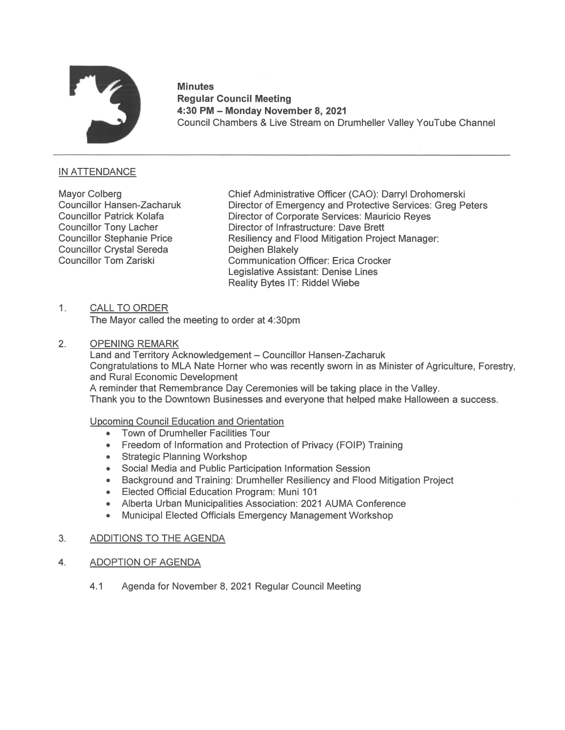

## **Minutes** Regular Council Meeting 4:30 PM — Monday November 8, 2021 Minutes<br>"Regular Council Meeting<br>4:30 PM – Monday November 8, 2021<br>Council Chambers & Live Stream on Drumheller Valley YouTube Channel

# IN ATTENDANCE

**Councillor Crystal Sereda** Deighen Blakely<br>
Councillor Tom Zariski<br>
Communication

Mayor Colberg **Chief Administrative Officer (CAO): Darryl Drohomerski** Councillor Hansen-Zacharuk Director of Emergency and Protective Services: Greg Peters Councillor Patrick Kolafa Director of Corporate Services: Mauricio Reyes Councillor Tony Lacher Director of Infrastructure: Dave Brett Councillor Stephanie Price Resiliency and Flood Mitigation Project Manager: Communication Officer: Erica Crocker Legislative Assistant: Denise Lines Reality Bytes IT: Riddel Wiebe

### 1. CALL TO ORDER

The Mayor called the meeting to order at 4:30pm

### 2. OPENING REMARK

Land and Territory Acknowledgement — Councillor Hansen-Zacharuk Congratulations to MLANate Homer who was recently sworn in as Minister of Agriculture, Forestry, and Rural Economic Development A reminder that Remembrance Day Ceremonies will be taking place in the Valley. Thank you to the Downtown Businesses and everyone that helped make Halloween a success.

### Upcoming Council Education and Orientation

- Town of Drumheller Facilities Tour
- Freedom of Information and Protection of Privacy (FOIP) Training
- Strategic Planning Workshop
- Social Media and Public Participation Information Session  $\bullet$
- Background and Training: Drumheller Resiliency and Flood Mitigation Project  $\bullet$
- Elected Official Education Program: Muni 101  $\bullet$
- Alberta Urban Municipalities Association: 2021 AUMA Conference  $\bullet$
- $\bullet$ Municipal Elected Officials Emergency Management Workshop

### 3. ADDITIONS TO THE AGENDA

- 4. ADOPTION OF AGENDA
	- 4.1 Agenda for November 8, 2021 Regular Council Meeting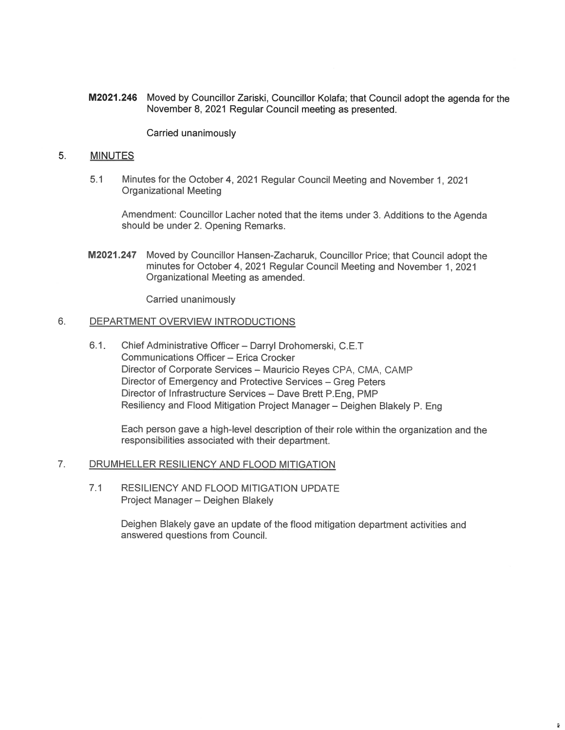M2021.246 Moved by Councillor Zariski, Councillor Kolafa; that Council adopt the agenda for the November 8, 2021 Regular Council meeting as presented.

Carried unanimously

#### 5. MINUTES

5.1 Minutes for the October 4, 2021 Regular Council Meeting and November 1, 2021 Organizational Meeting

Amendment: Councillor Lacher noted that the items under 3. Additions to the Agenda should be under 2. Opening Remarks.

M2021.247 Moved by Councillor Hansen-Zacharuk, Councillor Price; that Council adopt the minutes for October 4, 2021 Regular Council Meeting and November 1, 2021 Organizational Meeting as amended.

Carried unanimously

#### $6.$ DEPARTMENT OVERVIEW INTRODUCTIONS

6.1 Chief Administrative Officer — Darryl Drohomerski, C.E.T Communications Officer — Erica Crocker Director of Corporate Services — Mauricio Reyes CPA, CMA, CAMP Director of Emergency and Protective Services - Greg Peters Director of Infrastructure Services — Dave Brett P.Eng, PMP Resiliency and Flood Mitigation Project Manager— Deighen Blakely P. Eng

Each person gave a high-level description of their role within the organization and the responsibilities associated with their department.

#### 7. DRUMHELLER RESILIENCY AND FLOOD MITIGATION

7.1 RESILIENCY AND FLOOD MITIGATION UPDATE Project Manager — Deighen Blakely

> Deighen Blakely gave an update of the flood mitigation department activities and answered questions from Council.